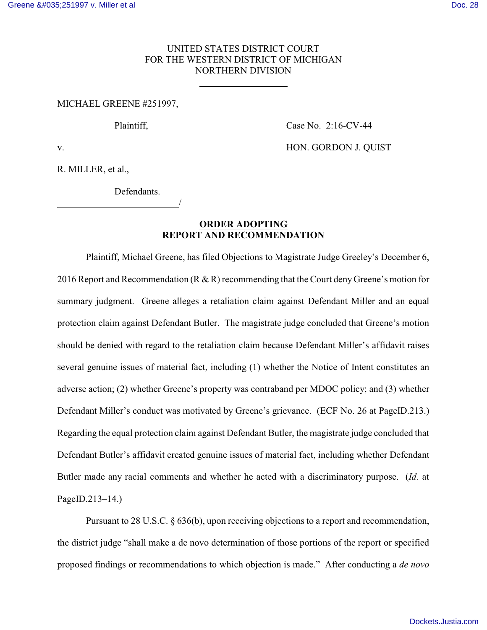## UNITED STATES DISTRICT COURT FOR THE WESTERN DISTRICT OF MICHIGAN NORTHERN DIVISION

 $\overline{a}$ 

MICHAEL GREENE #251997,

Plaintiff, Case No. 2:16-CV-44

v. **HON. GORDON J. OUIST** 

R. MILLER, et al.,

Defendants.

/

## **ORDER ADOPTING REPORT AND RECOMMENDATION**

Plaintiff, Michael Greene, has filed Objections to Magistrate Judge Greeley's December 6, 2016 Report and Recommendation (R & R) recommending that the Court deny Greene's motion for summary judgment. Greene alleges a retaliation claim against Defendant Miller and an equal protection claim against Defendant Butler. The magistrate judge concluded that Greene's motion should be denied with regard to the retaliation claim because Defendant Miller's affidavit raises several genuine issues of material fact, including (1) whether the Notice of Intent constitutes an adverse action; (2) whether Greene's property was contraband per MDOC policy; and (3) whether Defendant Miller's conduct was motivated by Greene's grievance. (ECF No. 26 at PageID.213.) Regarding the equal protection claim against Defendant Butler, the magistrate judge concluded that Defendant Butler's affidavit created genuine issues of material fact, including whether Defendant Butler made any racial comments and whether he acted with a discriminatory purpose. (*Id.* at PageID.213–14.)

Pursuant to 28 U.S.C. § 636(b), upon receiving objections to a report and recommendation, the district judge "shall make a de novo determination of those portions of the report or specified proposed findings or recommendations to which objection is made." After conducting a *de novo*